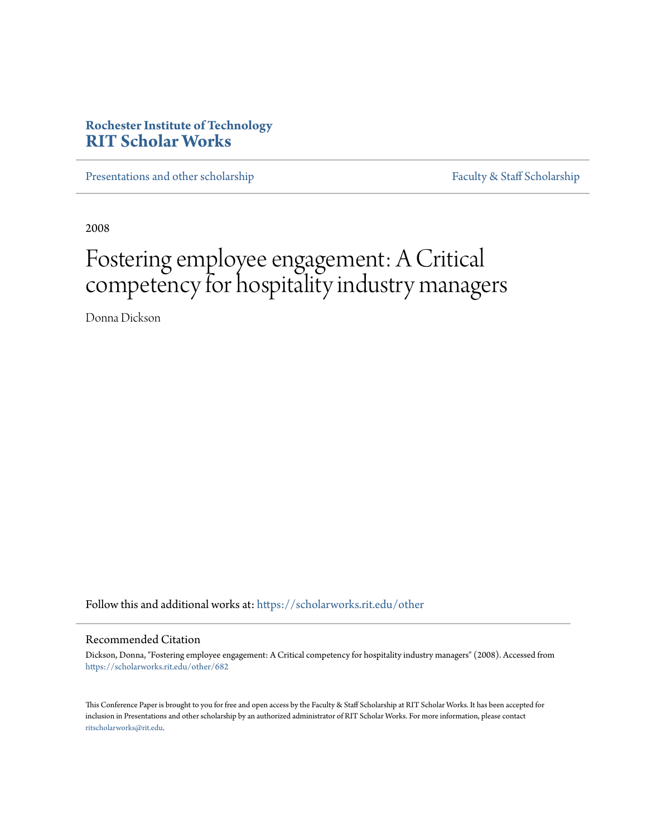# **Rochester Institute of Technology [RIT Scholar Works](https://scholarworks.rit.edu?utm_source=scholarworks.rit.edu%2Fother%2F682&utm_medium=PDF&utm_campaign=PDFCoverPages)**

[Presentations and other scholarship](https://scholarworks.rit.edu/other?utm_source=scholarworks.rit.edu%2Fother%2F682&utm_medium=PDF&utm_campaign=PDFCoverPages) [Faculty & Staff Scholarship](https://scholarworks.rit.edu/facstaff?utm_source=scholarworks.rit.edu%2Fother%2F682&utm_medium=PDF&utm_campaign=PDFCoverPages)

2008

# Fostering employee engagement: A Critical competency for hospitality industry managers

Donna Dickson

Follow this and additional works at: [https://scholarworks.rit.edu/other](https://scholarworks.rit.edu/other?utm_source=scholarworks.rit.edu%2Fother%2F682&utm_medium=PDF&utm_campaign=PDFCoverPages)

# Recommended Citation

Dickson, Donna, "Fostering employee engagement: A Critical competency for hospitality industry managers" (2008). Accessed from [https://scholarworks.rit.edu/other/682](https://scholarworks.rit.edu/other/682?utm_source=scholarworks.rit.edu%2Fother%2F682&utm_medium=PDF&utm_campaign=PDFCoverPages)

This Conference Paper is brought to you for free and open access by the Faculty & Staff Scholarship at RIT Scholar Works. It has been accepted for inclusion in Presentations and other scholarship by an authorized administrator of RIT Scholar Works. For more information, please contact [ritscholarworks@rit.edu](mailto:ritscholarworks@rit.edu).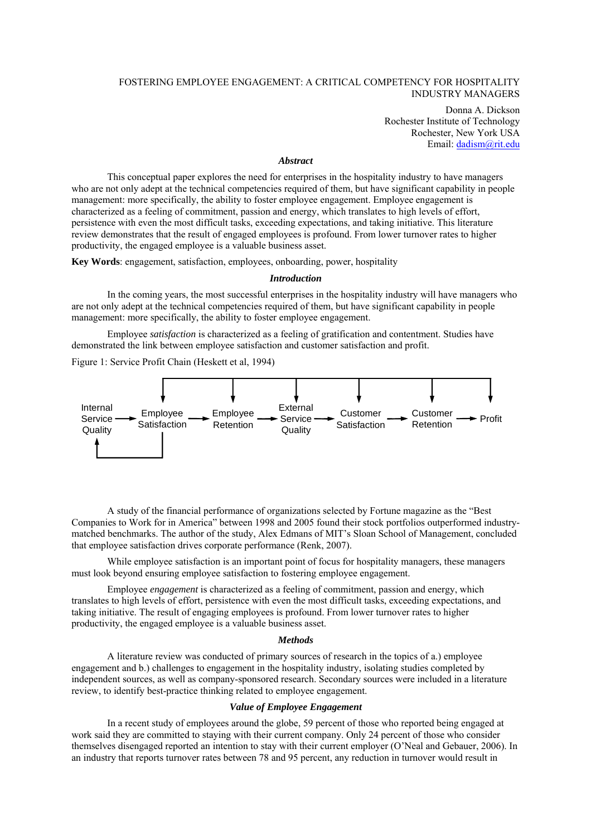# FOSTERING EMPLOYEE ENGAGEMENT: A CRITICAL COMPETENCY FOR HOSPITALITY INDUSTRY MANAGERS

Donna A. Dickson Rochester Institute of Technology Rochester, New York USA Email: dadism@rit.edu

#### *Abstract*

This conceptual paper explores the need for enterprises in the hospitality industry to have managers who are not only adept at the technical competencies required of them, but have significant capability in people management: more specifically, the ability to foster employee engagement. Employee engagement is characterized as a feeling of commitment, passion and energy, which translates to high levels of effort, persistence with even the most difficult tasks, exceeding expectations, and taking initiative. This literature review demonstrates that the result of engaged employees is profound. From lower turnover rates to higher productivity, the engaged employee is a valuable business asset.

**Key Words**: engagement, satisfaction, employees, onboarding, power, hospitality

#### *Introduction*

In the coming years, the most successful enterprises in the hospitality industry will have managers who are not only adept at the technical competencies required of them, but have significant capability in people management: more specifically, the ability to foster employee engagement.

Employee *satisfaction* is characterized as a feeling of gratification and contentment. Studies have demonstrated the link between employee satisfaction and customer satisfaction and profit.

Figure 1: Service Profit Chain (Heskett et al, 1994)



A study of the financial performance of organizations selected by Fortune magazine as the "Best Companies to Work for in America" between 1998 and 2005 found their stock portfolios outperformed industrymatched benchmarks. The author of the study, Alex Edmans of MIT's Sloan School of Management, concluded that employee satisfaction drives corporate performance (Renk, 2007).

While employee satisfaction is an important point of focus for hospitality managers, these managers must look beyond ensuring employee satisfaction to fostering employee engagement.

Employee *engagement* is characterized as a feeling of commitment, passion and energy, which translates to high levels of effort, persistence with even the most difficult tasks, exceeding expectations, and taking initiative. The result of engaging employees is profound. From lower turnover rates to higher productivity, the engaged employee is a valuable business asset.

#### *Methods*

A literature review was conducted of primary sources of research in the topics of a.) employee engagement and b.) challenges to engagement in the hospitality industry, isolating studies completed by independent sources, as well as company-sponsored research. Secondary sources were included in a literature review, to identify best-practice thinking related to employee engagement.

#### *Value of Employee Engagement*

In a recent study of employees around the globe, 59 percent of those who reported being engaged at work said they are committed to staying with their current company. Only 24 percent of those who consider themselves disengaged reported an intention to stay with their current employer (O'Neal and Gebauer, 2006). In an industry that reports turnover rates between 78 and 95 percent, any reduction in turnover would result in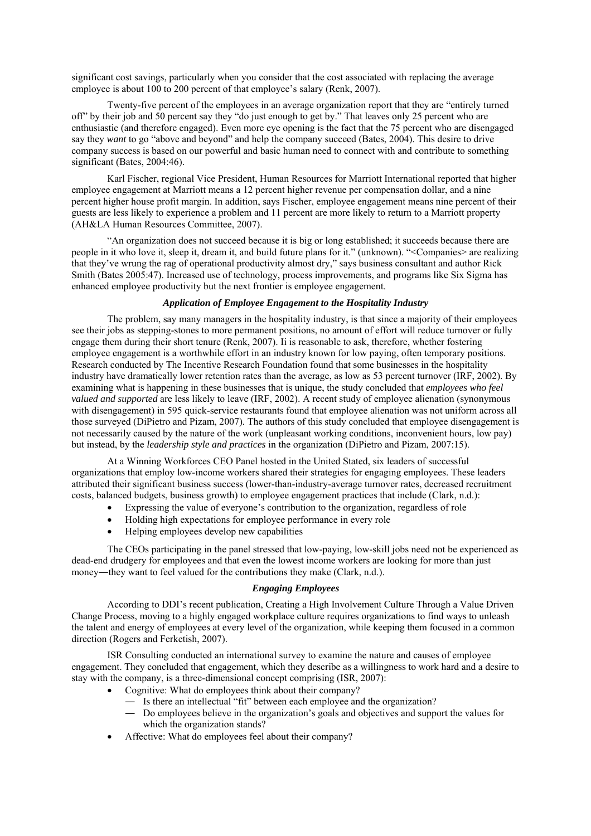significant cost savings, particularly when you consider that the cost associated with replacing the average employee is about 100 to 200 percent of that employee's salary (Renk, 2007).

 Twenty-five percent of the employees in an average organization report that they are "entirely turned off" by their job and 50 percent say they "do just enough to get by." That leaves only 25 percent who are enthusiastic (and therefore engaged). Even more eye opening is the fact that the 75 percent who are disengaged say they *want* to go "above and beyond" and help the company succeed (Bates, 2004). This desire to drive company success is based on our powerful and basic human need to connect with and contribute to something significant (Bates, 2004:46).

 Karl Fischer, regional Vice President, Human Resources for Marriott International reported that higher employee engagement at Marriott means a 12 percent higher revenue per compensation dollar, and a nine percent higher house profit margin. In addition, says Fischer, employee engagement means nine percent of their guests are less likely to experience a problem and 11 percent are more likely to return to a Marriott property (AH&LA Human Resources Committee, 2007).

 "An organization does not succeed because it is big or long established; it succeeds because there are people in it who love it, sleep it, dream it, and build future plans for it." (unknown). "<Companies> are realizing that they've wrung the rag of operational productivity almost dry," says business consultant and author Rick Smith (Bates 2005:47). Increased use of technology, process improvements, and programs like Six Sigma has enhanced employee productivity but the next frontier is employee engagement.

#### *Application of Employee Engagement to the Hospitality Industry*

 The problem, say many managers in the hospitality industry, is that since a majority of their employees see their jobs as stepping-stones to more permanent positions, no amount of effort will reduce turnover or fully engage them during their short tenure (Renk, 2007). Ii is reasonable to ask, therefore, whether fostering employee engagement is a worthwhile effort in an industry known for low paying, often temporary positions. Research conducted by The Incentive Research Foundation found that some businesses in the hospitality industry have dramatically lower retention rates than the average, as low as 53 percent turnover (IRF, 2002). By examining what is happening in these businesses that is unique, the study concluded that *employees who feel valued and supported* are less likely to leave (IRF, 2002). A recent study of employee alienation (synonymous with disengagement) in 595 quick-service restaurants found that employee alienation was not uniform across all those surveyed (DiPietro and Pizam, 2007). The authors of this study concluded that employee disengagement is not necessarily caused by the nature of the work (unpleasant working conditions, inconvenient hours, low pay) but instead, by the *leadership style and practices* in the organization (DiPietro and Pizam, 2007:15).

 At a Winning Workforces CEO Panel hosted in the United Stated, six leaders of successful organizations that employ low-income workers shared their strategies for engaging employees. These leaders attributed their significant business success (lower-than-industry-average turnover rates, decreased recruitment costs, balanced budgets, business growth) to employee engagement practices that include (Clark, n.d.):

- Expressing the value of everyone's contribution to the organization, regardless of role
- Holding high expectations for employee performance in every role
- Helping employees develop new capabilities

 The CEOs participating in the panel stressed that low-paying, low-skill jobs need not be experienced as dead-end drudgery for employees and that even the lowest income workers are looking for more than just money—they want to feel valued for the contributions they make (Clark, n.d.).

#### *Engaging Employees*

 According to DDI's recent publication, Creating a High Involvement Culture Through a Value Driven Change Process, moving to a highly engaged workplace culture requires organizations to find ways to unleash the talent and energy of employees at every level of the organization, while keeping them focused in a common direction (Rogers and Ferketish, 2007).

 ISR Consulting conducted an international survey to examine the nature and causes of employee engagement. They concluded that engagement, which they describe as a willingness to work hard and a desire to stay with the company, is a three-dimensional concept comprising (ISR, 2007):

- Cognitive: What do employees think about their company?
	- Is there an intellectual "fit" between each employee and the organization?<br>— De employees believe in the organization's goals and objectives and suppo
	- ― Do employees believe in the organization's goals and objectives and support the values for which the organization stands?
- Affective: What do employees feel about their company?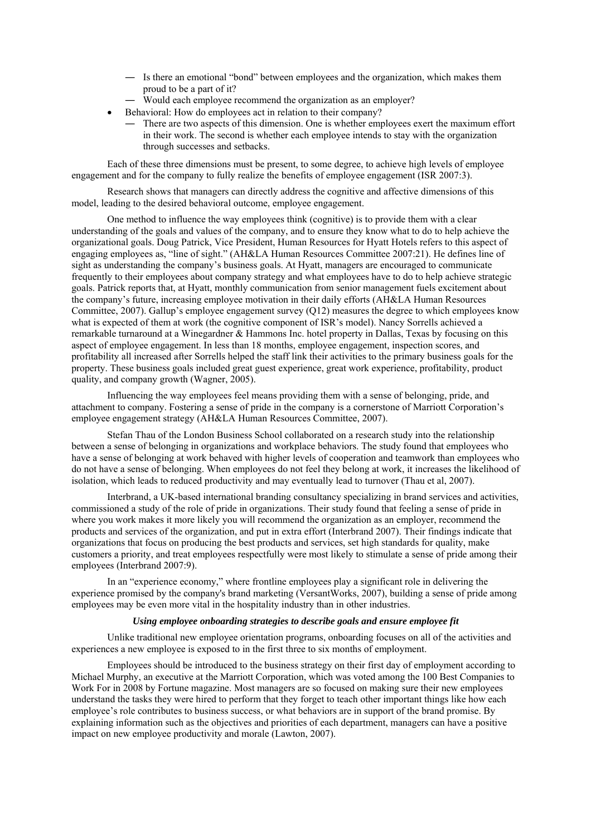- ― Is there an emotional "bond" between employees and the organization, which makes them proud to be a part of it?
- Would each employee recommend the organization as an employer?
- Behavioral: How do employees act in relation to their company?
	- ― There are two aspects of this dimension. One is whether employees exert the maximum effort in their work. The second is whether each employee intends to stay with the organization through successes and setbacks.

 Each of these three dimensions must be present, to some degree, to achieve high levels of employee engagement and for the company to fully realize the benefits of employee engagement (ISR 2007:3).

 Research shows that managers can directly address the cognitive and affective dimensions of this model, leading to the desired behavioral outcome, employee engagement.

 One method to influence the way employees think (cognitive) is to provide them with a clear understanding of the goals and values of the company, and to ensure they know what to do to help achieve the organizational goals. Doug Patrick, Vice President, Human Resources for Hyatt Hotels refers to this aspect of engaging employees as, "line of sight." (AH&LA Human Resources Committee 2007:21). He defines line of sight as understanding the company's business goals. At Hyatt, managers are encouraged to communicate frequently to their employees about company strategy and what employees have to do to help achieve strategic goals. Patrick reports that, at Hyatt, monthly communication from senior management fuels excitement about the company's future, increasing employee motivation in their daily efforts (AH&LA Human Resources Committee, 2007). Gallup's employee engagement survey (Q12) measures the degree to which employees know what is expected of them at work (the cognitive component of ISR's model). Nancy Sorrells achieved a remarkable turnaround at a Winegardner & Hammons Inc. hotel property in Dallas, Texas by focusing on this aspect of employee engagement. In less than 18 months, employee engagement, inspection scores, and profitability all increased after Sorrells helped the staff link their activities to the primary business goals for the property. These business goals included great guest experience, great work experience, profitability, product quality, and company growth (Wagner, 2005).

 Influencing the way employees feel means providing them with a sense of belonging, pride, and attachment to company. Fostering a sense of pride in the company is a cornerstone of Marriott Corporation's employee engagement strategy (AH&LA Human Resources Committee, 2007).

 Stefan Thau of the London Business School collaborated on a research study into the relationship between a sense of belonging in organizations and workplace behaviors. The study found that employees who have a sense of belonging at work behaved with higher levels of cooperation and teamwork than employees who do not have a sense of belonging. When employees do not feel they belong at work, it increases the likelihood of isolation, which leads to reduced productivity and may eventually lead to turnover (Thau et al, 2007).

 Interbrand, a UK-based international branding consultancy specializing in brand services and activities, commissioned a study of the role of pride in organizations. Their study found that feeling a sense of pride in where you work makes it more likely you will recommend the organization as an employer, recommend the products and services of the organization, and put in extra effort (Interbrand 2007). Their findings indicate that organizations that focus on producing the best products and services, set high standards for quality, make customers a priority, and treat employees respectfully were most likely to stimulate a sense of pride among their employees (Interbrand 2007:9).

 In an "experience economy," where frontline employees play a significant role in delivering the experience promised by the company's brand marketing (VersantWorks, 2007), building a sense of pride among employees may be even more vital in the hospitality industry than in other industries.

#### *Using employee onboarding strategies to describe goals and ensure employee fit*

 Unlike traditional new employee orientation programs, onboarding focuses on all of the activities and experiences a new employee is exposed to in the first three to six months of employment.

 Employees should be introduced to the business strategy on their first day of employment according to Michael Murphy, an executive at the Marriott Corporation, which was voted among the 100 Best Companies to Work For in 2008 by Fortune magazine. Most managers are so focused on making sure their new employees understand the tasks they were hired to perform that they forget to teach other important things like how each employee's role contributes to business success, or what behaviors are in support of the brand promise. By explaining information such as the objectives and priorities of each department, managers can have a positive impact on new employee productivity and morale (Lawton, 2007).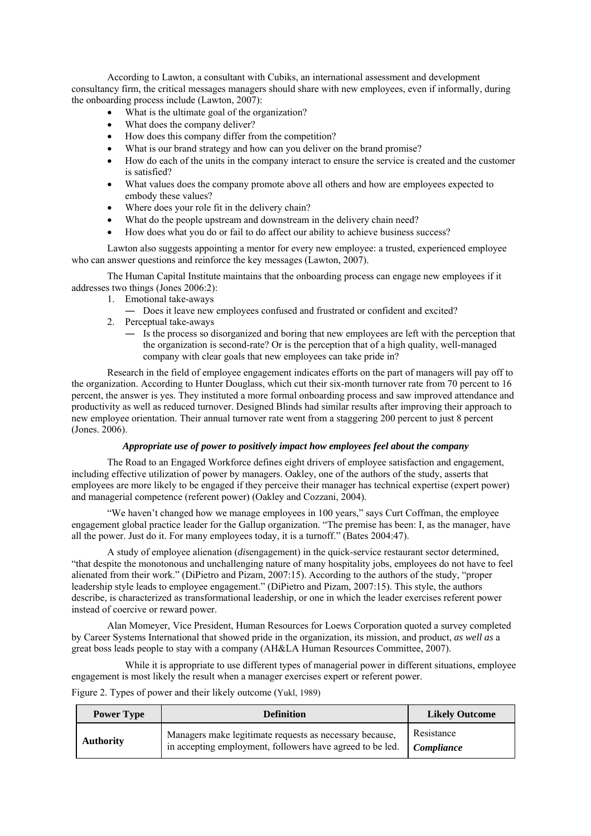According to Lawton, a consultant with Cubiks, an international assessment and development consultancy firm, the critical messages managers should share with new employees, even if informally, during the onboarding process include (Lawton, 2007):

- What is the ultimate goal of the organization?
- What does the company deliver?
- How does this company differ from the competition?
- What is our brand strategy and how can you deliver on the brand promise?
- How do each of the units in the company interact to ensure the service is created and the customer is satisfied?
- What values does the company promote above all others and how are employees expected to embody these values?
- Where does your role fit in the delivery chain?
- What do the people upstream and downstream in the delivery chain need?
- How does what you do or fail to do affect our ability to achieve business success?

 Lawton also suggests appointing a mentor for every new employee: a trusted, experienced employee who can answer questions and reinforce the key messages (Lawton, 2007).

 The Human Capital Institute maintains that the onboarding process can engage new employees if it addresses two things (Jones 2006:2):

- 1. Emotional take-aways
	- ― Does it leave new employees confused and frustrated or confident and excited?
- 2. Perceptual take-aways
	- ― Is the process so disorganized and boring that new employees are left with the perception that the organization is second-rate? Or is the perception that of a high quality, well-managed company with clear goals that new employees can take pride in?

 Research in the field of employee engagement indicates efforts on the part of managers will pay off to the organization. According to Hunter Douglass, which cut their six-month turnover rate from 70 percent to 16 percent, the answer is yes. They instituted a more formal onboarding process and saw improved attendance and productivity as well as reduced turnover. Designed Blinds had similar results after improving their approach to new employee orientation. Their annual turnover rate went from a staggering 200 percent to just 8 percent (Jones. 2006).

# *Appropriate use of power to positively impact how employees feel about the company*

The Road to an Engaged Workforce defines eight drivers of employee satisfaction and engagement, including effective utilization of power by managers. Oakley, one of the authors of the study, asserts that employees are more likely to be engaged if they perceive their manager has technical expertise (expert power) and managerial competence (referent power) (Oakley and Cozzani, 2004).

 "We haven't changed how we manage employees in 100 years," says Curt Coffman, the employee engagement global practice leader for the Gallup organization. "The premise has been: I, as the manager, have all the power. Just do it. For many employees today, it is a turnoff." (Bates 2004:47).

 A study of employee alienation (*dis*engagement) in the quick-service restaurant sector determined, "that despite the monotonous and unchallenging nature of many hospitality jobs, employees do not have to feel alienated from their work." (DiPietro and Pizam, 2007:15). According to the authors of the study, "proper leadership style leads to employee engagement." (DiPietro and Pizam, 2007:15). This style, the authors describe, is characterized as transformational leadership, or one in which the leader exercises referent power instead of coercive or reward power.

 Alan Momeyer, Vice President, Human Resources for Loews Corporation quoted a survey completed by Career Systems International that showed pride in the organization, its mission, and product, *as well as* a great boss leads people to stay with a company (AH&LA Human Resources Committee, 2007).

While it is appropriate to use different types of managerial power in different situations, employee engagement is most likely the result when a manager exercises expert or referent power.

Figure 2. Types of power and their likely outcome (Yukl, 1989)

| <b>Power Type</b> | <b>Definition</b>                                                                                                    | <b>Likely Outcome</b>           |
|-------------------|----------------------------------------------------------------------------------------------------------------------|---------------------------------|
| <b>Authority</b>  | Managers make legitimate requests as necessary because,<br>in accepting employment, followers have agreed to be led. | Resistance<br><i>Compliance</i> |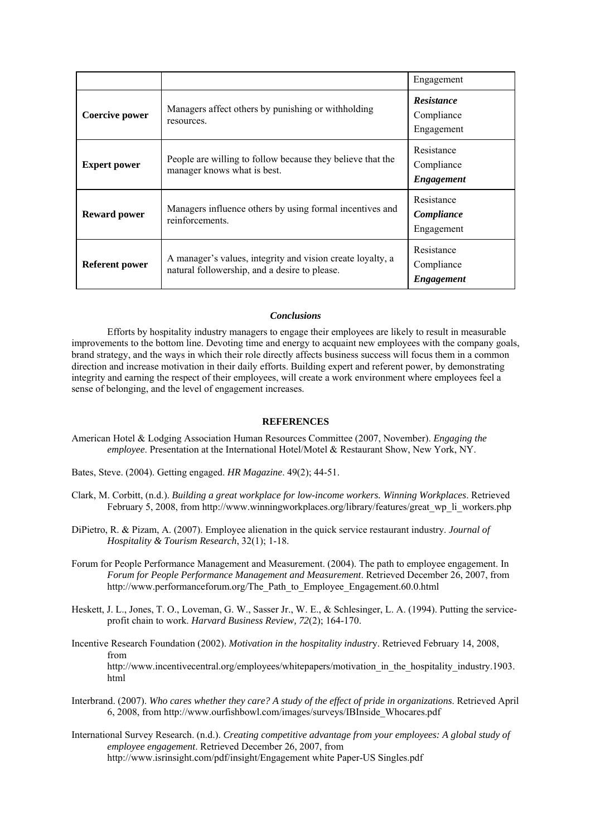|                       |                                                                                                             | Engagement                                    |
|-----------------------|-------------------------------------------------------------------------------------------------------------|-----------------------------------------------|
| Coercive power        | Managers affect others by punishing or withholding<br>resources.                                            | <b>Resistance</b><br>Compliance<br>Engagement |
| <b>Expert power</b>   | People are willing to follow because they believe that the<br>manager knows what is best.                   | Resistance<br>Compliance<br>Engagement        |
| <b>Reward power</b>   | Managers influence others by using formal incentives and<br>reinforcements.                                 | Resistance<br>Compliance<br>Engagement        |
| <b>Referent power</b> | A manager's values, integrity and vision create loyalty, a<br>natural followership, and a desire to please. | Resistance<br>Compliance<br><i>Engagement</i> |

# *Conclusions*

 Efforts by hospitality industry managers to engage their employees are likely to result in measurable improvements to the bottom line. Devoting time and energy to acquaint new employees with the company goals, brand strategy, and the ways in which their role directly affects business success will focus them in a common direction and increase motivation in their daily efforts. Building expert and referent power, by demonstrating integrity and earning the respect of their employees, will create a work environment where employees feel a sense of belonging, and the level of engagement increases.

#### **REFERENCES**

- American Hotel & Lodging Association Human Resources Committee (2007, November). *Engaging the employee*. Presentation at the International Hotel/Motel & Restaurant Show, New York, NY.
- Bates, Steve. (2004). Getting engaged. *HR Magazine*. 49(2); 44-51.
- Clark, M. Corbitt, (n.d.). *Building a great workplace for low-income workers. Winning Workplaces*. Retrieved February 5, 2008, from http://www.winningworkplaces.org/library/features/great\_wp\_li\_workers.php
- DiPietro, R. & Pizam, A. (2007). Employee alienation in the quick service restaurant industry. *Journal of Hospitality & Tourism Research*, 32(1); 1-18.
- Forum for People Performance Management and Measurement. (2004). The path to employee engagement. In *Forum for People Performance Management and Measurement*. Retrieved December 26, 2007, from http://www.performanceforum.org/The\_Path\_to\_Employee\_Engagement.60.0.html
- Heskett, J. L., Jones, T. O., Loveman, G. W., Sasser Jr., W. E., & Schlesinger, L. A. (1994). Putting the serviceprofit chain to work. *Harvard Business Review, 72*(2); 164-170.
- Incentive Research Foundation (2002). *Motivation in the hospitality industr*y. Retrieved February 14, 2008, from http://www.incentivecentral.org/employees/whitepapers/motivation\_in\_the\_hospitality\_industry.1903. html
- Interbrand. (2007). *Who cares whether they care? A study of the effect of pride in organizations*. Retrieved April 6, 2008, from http://www.ourfishbowl.com/images/surveys/IBInside\_Whocares.pdf
- International Survey Research. (n.d.). *Creating competitive advantage from your employees: A global study of employee engagement*. Retrieved December 26, 2007, from http://www.isrinsight.com/pdf/insight/Engagement white Paper-US Singles.pdf